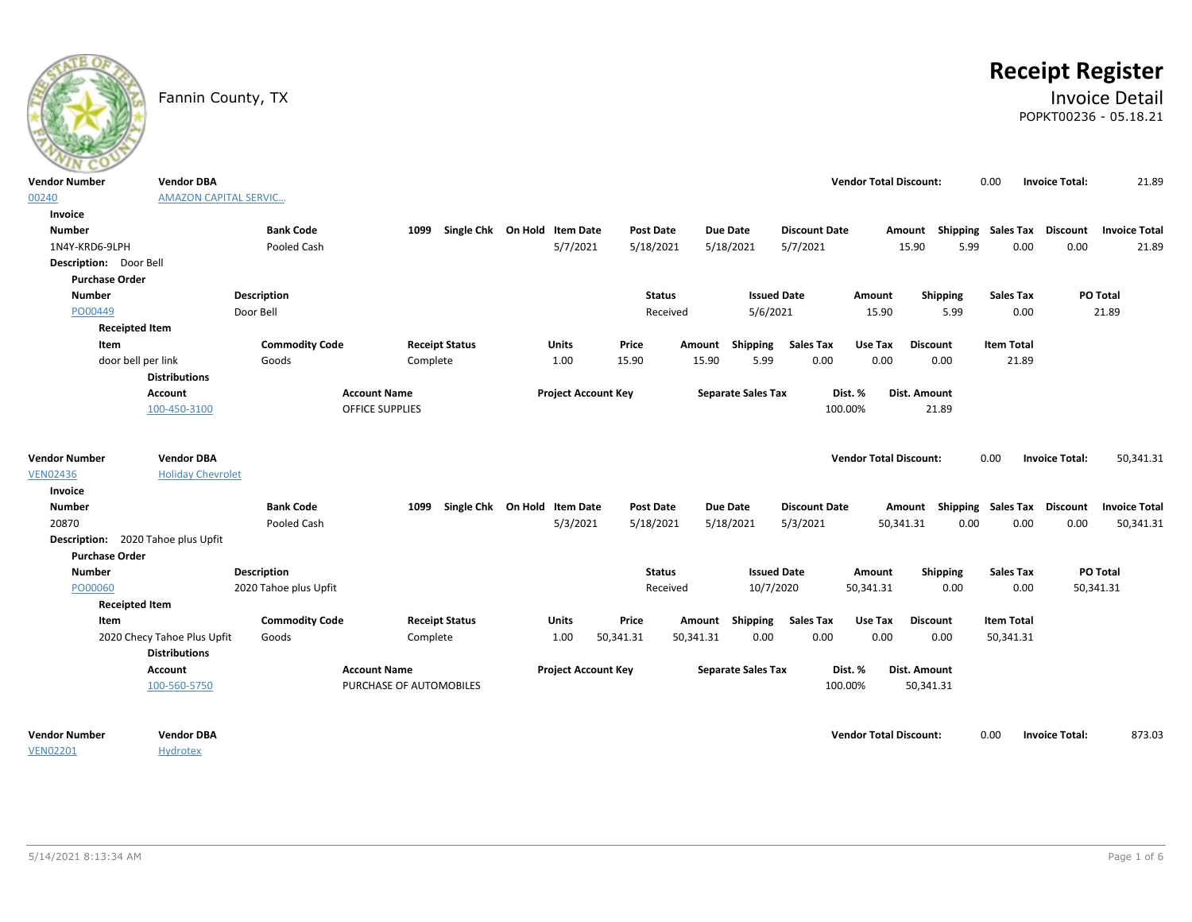

# **Receipt Register**

### Fannin County, TX **Invoice Detail** POPKT00236 - 05.18.21

| $\sim$                             |                                                     |                       |                                                |                                   |                            |           |                  |                 |                           |                      |                    |                               |                           |                   |       |                       |                      |
|------------------------------------|-----------------------------------------------------|-----------------------|------------------------------------------------|-----------------------------------|----------------------------|-----------|------------------|-----------------|---------------------------|----------------------|--------------------|-------------------------------|---------------------------|-------------------|-------|-----------------------|----------------------|
| Vendor Number                      | <b>Vendor DBA</b>                                   |                       |                                                |                                   |                            |           |                  |                 |                           |                      |                    | <b>Vendor Total Discount:</b> |                           | 0.00              |       | <b>Invoice Total:</b> | 21.89                |
| 00240                              | <b>AMAZON CAPITAL SERVIC</b>                        |                       |                                                |                                   |                            |           |                  |                 |                           |                      |                    |                               |                           |                   |       |                       |                      |
| Invoice                            |                                                     |                       |                                                |                                   |                            |           |                  |                 |                           |                      |                    |                               |                           |                   |       |                       |                      |
| <b>Number</b>                      |                                                     | <b>Bank Code</b>      |                                                | 1099 Single Chk On Hold Item Date |                            |           | <b>Post Date</b> | Due Date        |                           | <b>Discount Date</b> |                    | Amount                        | Shipping Sales Tax        |                   |       | <b>Discount</b>       | <b>Invoice Total</b> |
| 1N4Y-KRD6-9LPH                     |                                                     | Pooled Cash           |                                                |                                   | 5/7/2021                   |           | 5/18/2021        |                 | 5/18/2021                 | 5/7/2021             |                    | 15.90                         | 5.99                      |                   | 0.00  | 0.00                  | 21.89                |
| Description: Door Bell             |                                                     |                       |                                                |                                   |                            |           |                  |                 |                           |                      |                    |                               |                           |                   |       |                       |                      |
| <b>Purchase Order</b>              |                                                     |                       |                                                |                                   |                            |           |                  |                 |                           |                      |                    |                               |                           |                   |       |                       |                      |
| <b>Number</b>                      |                                                     | Description           |                                                |                                   |                            |           | <b>Status</b>    |                 | <b>Issued Date</b>        |                      | Amount             |                               | Shipping                  | <b>Sales Tax</b>  |       |                       | PO Total             |
| PO00449                            |                                                     | Door Bell             |                                                |                                   |                            |           | Received         |                 | 5/6/2021                  |                      |                    | 15.90                         | 5.99                      |                   | 0.00  |                       | 21.89                |
| <b>Receipted Item</b>              |                                                     |                       |                                                |                                   |                            |           |                  |                 |                           |                      |                    |                               |                           |                   |       |                       |                      |
| Item                               |                                                     | <b>Commodity Code</b> |                                                | <b>Receipt Status</b>             | <b>Units</b>               | Price     | Amount           |                 | Shipping                  | <b>Sales Tax</b>     | Use Tax            |                               | <b>Discount</b>           | <b>Item Total</b> |       |                       |                      |
| door bell per link                 |                                                     | Goods                 | Complete                                       |                                   | 1.00                       | 15.90     |                  | 15.90           | 5.99                      | 0.00                 |                    | 0.00                          | 0.00                      |                   | 21.89 |                       |                      |
|                                    | <b>Distributions</b>                                |                       |                                                |                                   |                            |           |                  |                 |                           |                      |                    |                               |                           |                   |       |                       |                      |
|                                    | Account                                             |                       | <b>Account Name</b>                            |                                   | <b>Project Account Key</b> |           |                  |                 | <b>Separate Sales Tax</b> |                      | Dist. %            |                               | Dist. Amount              |                   |       |                       |                      |
|                                    | 100-450-3100                                        |                       | <b>OFFICE SUPPLIES</b>                         |                                   |                            |           |                  |                 |                           |                      | 100.00%            |                               | 21.89                     |                   |       |                       |                      |
| Vendor Number                      | <b>Vendor DBA</b>                                   |                       |                                                |                                   |                            |           |                  |                 |                           |                      |                    | <b>Vendor Total Discount:</b> |                           | 0.00              |       | <b>Invoice Total:</b> | 50,341.31            |
| <b>VEN02436</b>                    | <b>Holiday Chevrolet</b>                            |                       |                                                |                                   |                            |           |                  |                 |                           |                      |                    |                               |                           |                   |       |                       |                      |
| Invoice                            |                                                     |                       |                                                |                                   |                            |           |                  |                 |                           |                      |                    |                               |                           |                   |       |                       |                      |
| <b>Number</b>                      |                                                     | <b>Bank Code</b>      | 1099                                           | Single Chk On Hold Item Date      |                            |           | <b>Post Date</b> | <b>Due Date</b> |                           | <b>Discount Date</b> |                    | Amount                        | Shipping Sales Tax        |                   |       | <b>Discount</b>       | <b>Invoice Total</b> |
| 20870                              |                                                     | Pooled Cash           |                                                |                                   | 5/3/2021                   |           | 5/18/2021        |                 | 5/18/2021                 | 5/3/2021             |                    | 50,341.31                     | 0.00                      |                   | 0.00  | 0.00                  | 50,341.31            |
| Description: 2020 Tahoe plus Upfit |                                                     |                       |                                                |                                   |                            |           |                  |                 |                           |                      |                    |                               |                           |                   |       |                       |                      |
| <b>Purchase Order</b>              |                                                     |                       |                                                |                                   |                            |           |                  |                 |                           |                      |                    |                               |                           |                   |       |                       |                      |
| <b>Number</b>                      |                                                     | Description           |                                                |                                   |                            |           | <b>Status</b>    |                 | <b>Issued Date</b>        |                      | Amount             |                               | Shipping                  | <b>Sales Tax</b>  |       |                       | PO Total             |
| PO00060                            |                                                     | 2020 Tahoe plus Upfit |                                                |                                   |                            |           | Received         |                 | 10/7/2020                 |                      | 50,341.31          |                               | 0.00                      |                   | 0.00  | 50,341.31             |                      |
| <b>Receipted Item</b>              |                                                     |                       |                                                |                                   |                            |           |                  |                 |                           |                      |                    |                               |                           |                   |       |                       |                      |
| Item                               |                                                     | <b>Commodity Code</b> |                                                | <b>Receipt Status</b>             | <b>Units</b>               | Price     |                  | Amount          | Shipping                  | <b>Sales Tax</b>     |                    | Use Tax                       | <b>Discount</b>           | <b>Item Total</b> |       |                       |                      |
|                                    | 2020 Checy Tahoe Plus Upfit<br><b>Distributions</b> | Goods                 | Complete                                       |                                   | 1.00                       | 50,341.31 | 50,341.31        |                 | 0.00                      | 0.00                 |                    | 0.00                          | 0.00                      | 50,341.31         |       |                       |                      |
|                                    | Account<br>100-560-5750                             |                       | <b>Account Name</b><br>PURCHASE OF AUTOMOBILES |                                   | <b>Project Account Key</b> |           |                  |                 | <b>Separate Sales Tax</b> |                      | Dist. %<br>100.00% |                               | Dist. Amount<br>50,341.31 |                   |       |                       |                      |
| Vendor Number<br><b>VEN02201</b>   | <b>Vendor DBA</b><br><b>Hydrotex</b>                |                       |                                                |                                   |                            |           |                  |                 |                           |                      |                    | <b>Vendor Total Discount:</b> |                           | 0.00              |       | <b>Invoice Total:</b> | 873.03               |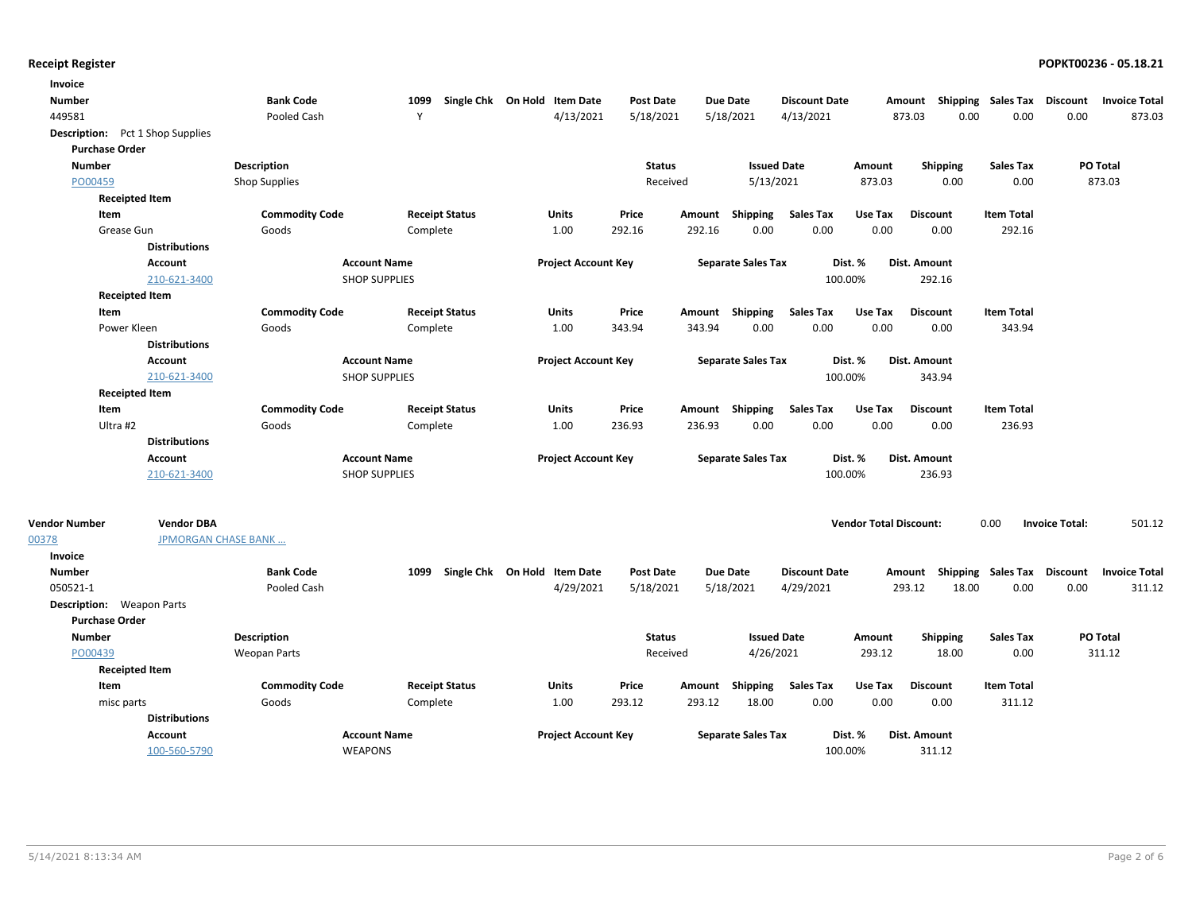| Invoice                                 |                             |                       |                      |                       |                              |                  |        |                           |                      |                               |                                    |                    |                       |                      |
|-----------------------------------------|-----------------------------|-----------------------|----------------------|-----------------------|------------------------------|------------------|--------|---------------------------|----------------------|-------------------------------|------------------------------------|--------------------|-----------------------|----------------------|
| <b>Number</b>                           |                             | <b>Bank Code</b>      | 1099                 |                       | Single Chk On Hold Item Date | <b>Post Date</b> |        | Due Date                  | <b>Discount Date</b> |                               | Amount Shipping Sales Tax Discount |                    |                       | <b>Invoice Total</b> |
| 449581                                  |                             | Pooled Cash           | Y                    |                       | 4/13/2021                    | 5/18/2021        |        | 5/18/2021                 | 4/13/2021            |                               | 873.03<br>0.00                     | 0.00               | 0.00                  | 873.03               |
| <b>Description:</b> Pct 1 Shop Supplies |                             |                       |                      |                       |                              |                  |        |                           |                      |                               |                                    |                    |                       |                      |
| <b>Purchase Order</b>                   |                             |                       |                      |                       |                              |                  |        |                           |                      |                               |                                    |                    |                       |                      |
| <b>Number</b>                           |                             | Description           |                      |                       |                              | <b>Status</b>    |        | <b>Issued Date</b>        |                      | Amount                        | Shipping                           | <b>Sales Tax</b>   |                       | PO Total             |
| PO00459                                 |                             | <b>Shop Supplies</b>  |                      |                       |                              | Received         |        | 5/13/2021                 |                      | 873.03                        | 0.00                               | 0.00               |                       | 873.03               |
| <b>Receipted Item</b>                   |                             |                       |                      |                       |                              |                  |        |                           |                      |                               |                                    |                    |                       |                      |
| Item                                    |                             | <b>Commodity Code</b> |                      | <b>Receipt Status</b> | <b>Units</b>                 | Price            | Amount | Shipping                  | <b>Sales Tax</b>     | Use Tax                       | <b>Discount</b>                    | <b>Item Total</b>  |                       |                      |
| Grease Gun                              |                             | Goods                 | Complete             |                       | 1.00                         | 292.16           | 292.16 | 0.00                      | 0.00                 | 0.00                          | 0.00                               | 292.16             |                       |                      |
|                                         | <b>Distributions</b>        |                       |                      |                       |                              |                  |        |                           |                      |                               |                                    |                    |                       |                      |
|                                         | Account                     |                       | <b>Account Name</b>  |                       | <b>Project Account Key</b>   |                  |        | <b>Separate Sales Tax</b> | Dist. %              |                               | Dist. Amount                       |                    |                       |                      |
|                                         | 210-621-3400                |                       | <b>SHOP SUPPLIES</b> |                       |                              |                  |        |                           | 100.00%              |                               | 292.16                             |                    |                       |                      |
| <b>Receipted Item</b>                   |                             |                       |                      |                       |                              |                  |        |                           |                      |                               |                                    |                    |                       |                      |
| Item                                    |                             | <b>Commodity Code</b> |                      | <b>Receipt Status</b> | <b>Units</b>                 | Price            |        | Amount Shipping           | <b>Sales Tax</b>     | Use Tax                       | <b>Discount</b>                    | <b>Item Total</b>  |                       |                      |
| Power Kleen                             |                             | Goods                 | Complete             |                       | 1.00                         | 343.94           | 343.94 | 0.00                      | 0.00                 | 0.00                          | 0.00                               | 343.94             |                       |                      |
|                                         | <b>Distributions</b>        |                       |                      |                       |                              |                  |        |                           |                      |                               |                                    |                    |                       |                      |
|                                         | <b>Account</b>              |                       | <b>Account Name</b>  |                       | <b>Project Account Key</b>   |                  |        | <b>Separate Sales Tax</b> | Dist. %              |                               | Dist. Amount                       |                    |                       |                      |
|                                         | 210-621-3400                |                       | <b>SHOP SUPPLIES</b> |                       |                              |                  |        |                           | 100.00%              |                               | 343.94                             |                    |                       |                      |
| <b>Receipted Item</b>                   |                             |                       |                      |                       |                              |                  |        |                           |                      |                               |                                    |                    |                       |                      |
| Item                                    |                             | <b>Commodity Code</b> |                      | <b>Receipt Status</b> | <b>Units</b>                 | Price            |        | Amount Shipping           | <b>Sales Tax</b>     | Use Tax                       | <b>Discount</b>                    | <b>Item Total</b>  |                       |                      |
| Ultra #2                                |                             | Goods                 | Complete             |                       | 1.00                         | 236.93           | 236.93 | 0.00                      | 0.00                 | 0.00                          | 0.00                               | 236.93             |                       |                      |
|                                         | <b>Distributions</b>        |                       |                      |                       |                              |                  |        |                           |                      |                               |                                    |                    |                       |                      |
|                                         | <b>Account</b>              |                       | <b>Account Name</b>  |                       | <b>Project Account Key</b>   |                  |        | <b>Separate Sales Tax</b> | Dist. %              |                               | Dist. Amount                       |                    |                       |                      |
|                                         | 210-621-3400                |                       | <b>SHOP SUPPLIES</b> |                       |                              |                  |        |                           | 100.00%              |                               | 236.93                             |                    |                       |                      |
| <b>Vendor Number</b>                    | <b>Vendor DBA</b>           |                       |                      |                       |                              |                  |        |                           |                      | <b>Vendor Total Discount:</b> |                                    | 0.00               | <b>Invoice Total:</b> | 501.12               |
| 00378                                   | <b>JPMORGAN CHASE BANK </b> |                       |                      |                       |                              |                  |        |                           |                      |                               |                                    |                    |                       |                      |
| Invoice                                 |                             |                       |                      |                       |                              |                  |        |                           |                      |                               |                                    |                    |                       |                      |
| <b>Number</b>                           |                             | <b>Bank Code</b>      | 1099                 |                       | Single Chk On Hold Item Date | <b>Post Date</b> |        | Due Date                  | <b>Discount Date</b> |                               | Amount                             | Shipping Sales Tax | <b>Discount</b>       | <b>Invoice Total</b> |
| 050521-1                                |                             | Pooled Cash           |                      |                       | 4/29/2021                    | 5/18/2021        |        | 5/18/2021                 | 4/29/2021            |                               | 293.12<br>18.00                    | 0.00               | 0.00                  | 311.12               |
| <b>Description:</b> Weapon Parts        |                             |                       |                      |                       |                              |                  |        |                           |                      |                               |                                    |                    |                       |                      |
| <b>Purchase Order</b>                   |                             |                       |                      |                       |                              |                  |        |                           |                      |                               |                                    |                    |                       |                      |
| <b>Number</b>                           |                             | Description           |                      |                       |                              | <b>Status</b>    |        | <b>Issued Date</b>        |                      | Amount                        | <b>Shipping</b>                    | <b>Sales Tax</b>   |                       | PO Total             |
| PO00439                                 |                             | <b>Weopan Parts</b>   |                      |                       |                              | Received         |        | 4/26/2021                 |                      | 293.12                        | 18.00                              | 0.00               |                       | 311.12               |
| <b>Receipted Item</b>                   |                             |                       |                      |                       |                              |                  |        |                           |                      |                               |                                    |                    |                       |                      |
| Item                                    |                             | <b>Commodity Code</b> |                      | <b>Receipt Status</b> | <b>Units</b>                 | Price            | Amount | Shipping                  | <b>Sales Tax</b>     | Use Tax                       | <b>Discount</b>                    | <b>Item Total</b>  |                       |                      |
| misc parts                              |                             | Goods                 | Complete             |                       | 1.00                         | 293.12           | 293.12 | 18.00                     | 0.00                 | 0.00                          | 0.00                               | 311.12             |                       |                      |
|                                         | <b>Distributions</b>        |                       |                      |                       |                              |                  |        |                           |                      |                               |                                    |                    |                       |                      |
|                                         | Account                     |                       | <b>Account Name</b>  |                       | <b>Project Account Key</b>   |                  |        | <b>Separate Sales Tax</b> | Dist. %              |                               | Dist. Amount                       |                    |                       |                      |
|                                         | 100-560-5790                |                       | <b>WEAPONS</b>       |                       |                              |                  |        |                           | 100.00%              |                               | 311.12                             |                    |                       |                      |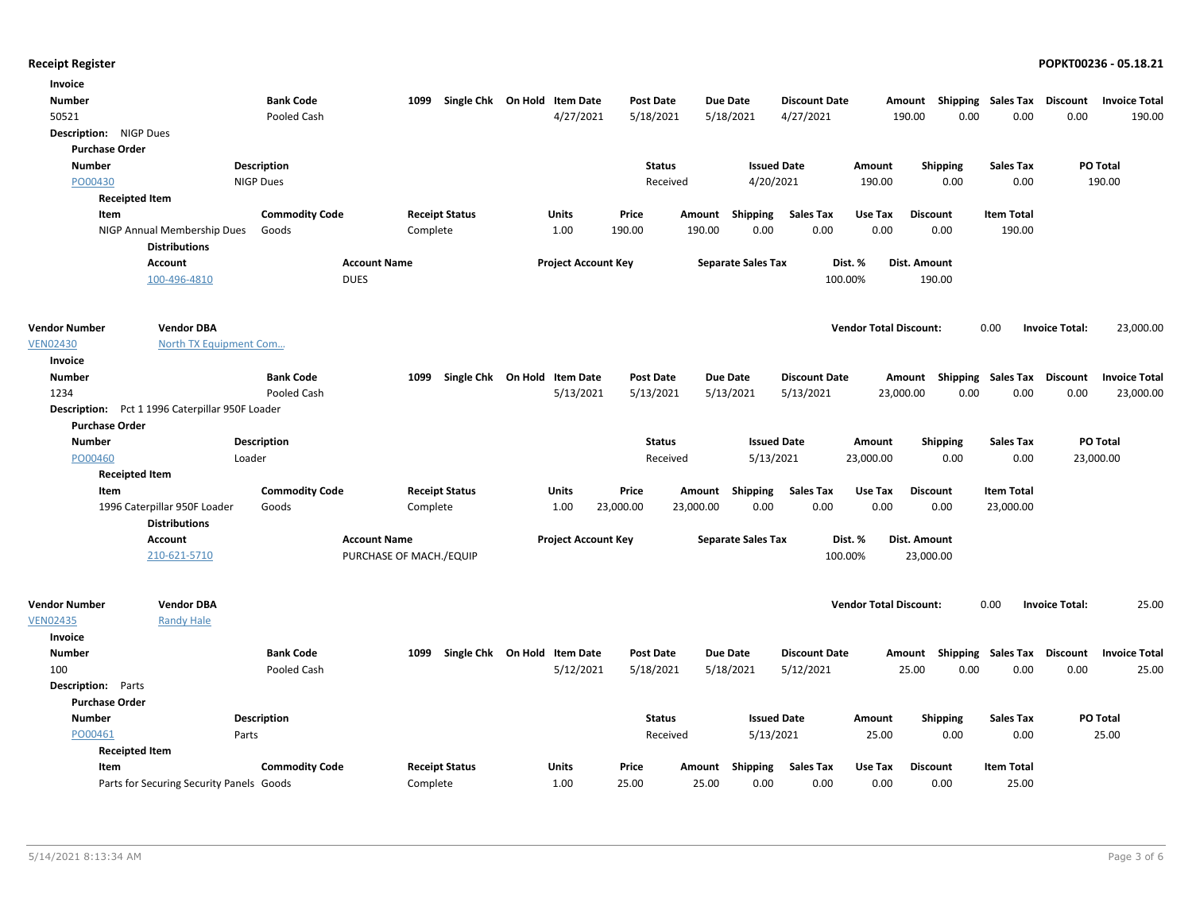| Invoice                   |                                                     |                       |                         |                                   |                              |                  |           |                           |                      |                               |                                    |                             |                       |                      |
|---------------------------|-----------------------------------------------------|-----------------------|-------------------------|-----------------------------------|------------------------------|------------------|-----------|---------------------------|----------------------|-------------------------------|------------------------------------|-----------------------------|-----------------------|----------------------|
| <b>Number</b>             |                                                     | <b>Bank Code</b>      |                         | 1099 Single Chk On Hold Item Date |                              | <b>Post Date</b> |           | Due Date                  | <b>Discount Date</b> |                               | Amount Shipping Sales Tax Discount |                             |                       | <b>Invoice Total</b> |
| 50521                     |                                                     | Pooled Cash           |                         |                                   | 4/27/2021                    | 5/18/2021        |           | 5/18/2021                 | 4/27/2021            | 190.00                        | 0.00                               | 0.00                        | 0.00                  | 190.00               |
| Description: NIGP Dues    |                                                     |                       |                         |                                   |                              |                  |           |                           |                      |                               |                                    |                             |                       |                      |
| <b>Purchase Order</b>     |                                                     |                       |                         |                                   |                              |                  |           |                           |                      |                               |                                    |                             |                       |                      |
| <b>Number</b>             |                                                     | Description           |                         |                                   |                              | <b>Status</b>    |           |                           | <b>Issued Date</b>   | Amount                        | <b>Shipping</b>                    | <b>Sales Tax</b>            |                       | PO Total             |
| PO00430                   |                                                     | <b>NIGP Dues</b>      |                         |                                   |                              | Received         |           | 4/20/2021                 |                      | 190.00                        | 0.00                               | 0.00                        |                       | 190.00               |
|                           | <b>Receipted Item</b>                               |                       |                         |                                   |                              |                  |           |                           |                      |                               |                                    |                             |                       |                      |
| Item                      |                                                     | <b>Commodity Code</b> |                         | <b>Receipt Status</b>             | Units                        | Price            |           | Amount Shipping           | <b>Sales Tax</b>     | Use Tax                       | <b>Discount</b>                    | <b>Item Total</b>           |                       |                      |
|                           | NIGP Annual Membership Dues<br><b>Distributions</b> | Goods                 |                         | Complete                          | 1.00                         | 190.00           | 190.00    | 0.00                      | 0.00                 | 0.00                          | 0.00                               | 190.00                      |                       |                      |
|                           | <b>Account</b>                                      |                       | <b>Account Name</b>     |                                   | <b>Project Account Key</b>   |                  |           | <b>Separate Sales Tax</b> |                      | Dist. %                       | Dist. Amount                       |                             |                       |                      |
|                           | 100-496-4810                                        |                       | <b>DUES</b>             |                                   |                              |                  |           |                           | 100.00%              |                               | 190.00                             |                             |                       |                      |
| <b>Vendor Number</b>      | <b>Vendor DBA</b>                                   |                       |                         |                                   |                              |                  |           |                           |                      | <b>Vendor Total Discount:</b> |                                    | 0.00                        | <b>Invoice Total:</b> | 23,000.00            |
| <b>VEN02430</b>           | North TX Equipment Com                              |                       |                         |                                   |                              |                  |           |                           |                      |                               |                                    |                             |                       |                      |
| Invoice<br><b>Number</b>  |                                                     | <b>Bank Code</b>      |                         | 1099 Single Chk On Hold Item Date |                              | <b>Post Date</b> |           | <b>Due Date</b>           | <b>Discount Date</b> |                               | Amount Shipping Sales Tax Discount |                             |                       | <b>Invoice Total</b> |
| 1234                      |                                                     | Pooled Cash           |                         |                                   | 5/13/2021                    | 5/13/2021        |           | 5/13/2021                 | 5/13/2021            | 23,000.00                     | 0.00                               | 0.00                        | 0.00                  | 23,000.00            |
|                           | Description: Pct 1 1996 Caterpillar 950F Loader     |                       |                         |                                   |                              |                  |           |                           |                      |                               |                                    |                             |                       |                      |
| <b>Purchase Order</b>     |                                                     |                       |                         |                                   |                              |                  |           |                           |                      |                               |                                    |                             |                       |                      |
| <b>Number</b>             |                                                     | Description           |                         |                                   |                              | <b>Status</b>    |           |                           | <b>Issued Date</b>   | Amount                        | <b>Shipping</b>                    | <b>Sales Tax</b>            |                       | PO Total             |
| PO00460                   |                                                     | Loader                |                         |                                   |                              | Received         |           | 5/13/2021                 |                      | 23,000.00                     | 0.00                               | 0.00                        |                       | 23,000.00            |
|                           | <b>Receipted Item</b>                               |                       |                         |                                   |                              |                  |           |                           |                      |                               |                                    |                             |                       |                      |
| Item                      |                                                     | <b>Commodity Code</b> |                         | <b>Receipt Status</b>             | Units                        | Price            |           | Amount Shipping           | <b>Sales Tax</b>     | Use Tax                       | <b>Discount</b>                    | <b>Item Total</b>           |                       |                      |
|                           | 1996 Caterpillar 950F Loader                        | Goods                 |                         | Complete                          | 1.00                         | 23,000.00        | 23,000.00 | 0.00                      | 0.00                 | 0.00                          | 0.00                               | 23,000.00                   |                       |                      |
|                           | <b>Distributions</b>                                |                       |                         |                                   |                              |                  |           |                           |                      |                               |                                    |                             |                       |                      |
|                           | Account                                             |                       | <b>Account Name</b>     |                                   | <b>Project Account Key</b>   |                  |           | <b>Separate Sales Tax</b> |                      | Dist. %                       | Dist. Amount                       |                             |                       |                      |
|                           | 210-621-5710                                        |                       | PURCHASE OF MACH./EQUIP |                                   |                              |                  |           |                           | 100.00%              |                               | 23,000.00                          |                             |                       |                      |
| <b>Vendor Number</b>      | <b>Vendor DBA</b>                                   |                       |                         |                                   |                              |                  |           |                           |                      | <b>Vendor Total Discount:</b> |                                    | 0.00                        | <b>Invoice Total:</b> | 25.00                |
| <b>VEN02435</b>           | <b>Randy Hale</b>                                   |                       |                         |                                   |                              |                  |           |                           |                      |                               |                                    |                             |                       |                      |
| Invoice                   |                                                     |                       |                         |                                   |                              |                  |           |                           |                      |                               |                                    |                             |                       |                      |
| <b>Number</b>             |                                                     | <b>Bank Code</b>      | 1099                    |                                   | Single Chk On Hold Item Date | <b>Post Date</b> |           | <b>Due Date</b>           | <b>Discount Date</b> | Amount                        |                                    | Shipping Sales Tax Discount |                       | <b>Invoice Total</b> |
| 100                       |                                                     | Pooled Cash           |                         |                                   | 5/12/2021                    | 5/18/2021        |           | 5/18/2021                 | 5/12/2021            |                               | 25.00<br>0.00                      | 0.00                        | 0.00                  | 25.00                |
| <b>Description:</b> Parts |                                                     |                       |                         |                                   |                              |                  |           |                           |                      |                               |                                    |                             |                       |                      |
| <b>Purchase Order</b>     |                                                     |                       |                         |                                   |                              |                  |           |                           |                      |                               |                                    |                             |                       |                      |
| <b>Number</b>             |                                                     | Description           |                         |                                   |                              | <b>Status</b>    |           |                           | <b>Issued Date</b>   | Amount                        | <b>Shipping</b>                    | <b>Sales Tax</b>            |                       | PO Total             |
| PO00461                   |                                                     | Parts                 |                         |                                   |                              | Received         |           | 5/13/2021                 |                      | 25.00                         | 0.00                               | 0.00                        |                       | 25.00                |
|                           | <b>Receipted Item</b>                               |                       |                         |                                   |                              |                  |           |                           |                      |                               |                                    |                             |                       |                      |
| Item                      |                                                     | <b>Commodity Code</b> |                         | <b>Receipt Status</b>             | Units                        | Price            | Amount    | Shipping                  | Sales Tax            | Use Tax                       | <b>Discount</b>                    | <b>Item Total</b>           |                       |                      |
|                           | Parts for Securing Security Panels Goods            |                       |                         | Complete                          | 1.00                         | 25.00            | 25.00     | 0.00                      | 0.00                 | 0.00                          | 0.00                               | 25.00                       |                       |                      |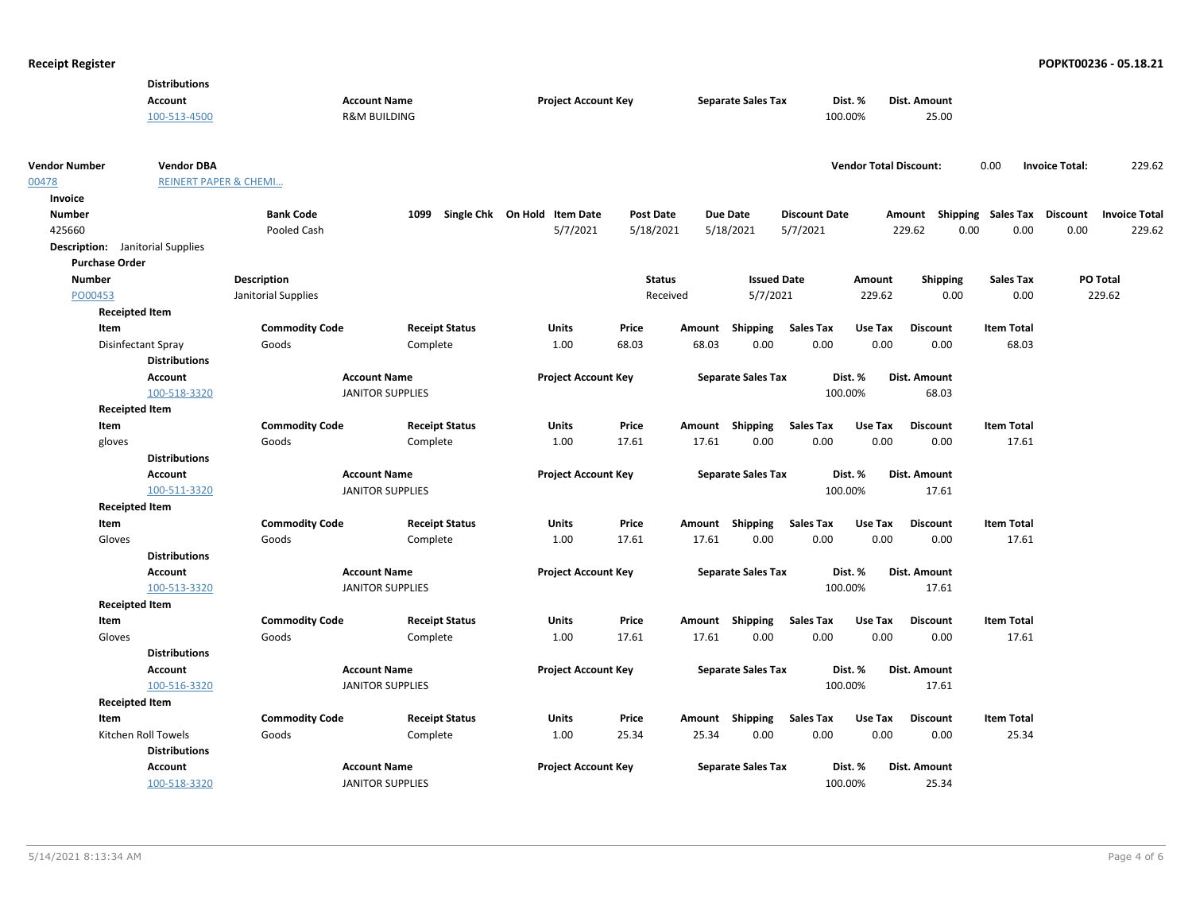|                                         | <b>Distributions</b>             |                       |                         |                       |                              |                  |               |                           |                      |                               |                     |                                    |                       |                      |
|-----------------------------------------|----------------------------------|-----------------------|-------------------------|-----------------------|------------------------------|------------------|---------------|---------------------------|----------------------|-------------------------------|---------------------|------------------------------------|-----------------------|----------------------|
|                                         | <b>Account</b>                   |                       | <b>Account Name</b>     |                       | <b>Project Account Key</b>   |                  |               | <b>Separate Sales Tax</b> |                      | Dist. %                       | Dist. Amount        |                                    |                       |                      |
|                                         | 100-513-4500                     |                       | <b>R&amp;M BUILDING</b> |                       |                              |                  |               |                           |                      | 100.00%                       | 25.00               |                                    |                       |                      |
|                                         |                                  |                       |                         |                       |                              |                  |               |                           |                      |                               |                     |                                    |                       |                      |
| <b>Vendor Number</b>                    | <b>Vendor DBA</b>                |                       |                         |                       |                              |                  |               |                           |                      | <b>Vendor Total Discount:</b> |                     | 0.00                               | <b>Invoice Total:</b> | 229.62               |
| 00478                                   | <b>REINERT PAPER &amp; CHEMI</b> |                       |                         |                       |                              |                  |               |                           |                      |                               |                     |                                    |                       |                      |
| Invoice                                 |                                  |                       |                         |                       |                              |                  |               |                           |                      |                               |                     |                                    |                       |                      |
| <b>Number</b>                           |                                  | <b>Bank Code</b>      | 1099                    |                       | Single Chk On Hold Item Date | <b>Post Date</b> |               | Due Date                  | <b>Discount Date</b> |                               |                     | Amount Shipping Sales Tax Discount |                       | <b>Invoice Total</b> |
| 425660                                  |                                  | Pooled Cash           |                         |                       | 5/7/2021                     | 5/18/2021        |               | 5/18/2021                 | 5/7/2021             |                               | 229.62              | 0.00<br>0.00                       | 0.00                  | 229.62               |
| <b>Description:</b> Janitorial Supplies |                                  |                       |                         |                       |                              |                  |               |                           |                      |                               |                     |                                    |                       |                      |
| <b>Purchase Order</b>                   |                                  |                       |                         |                       |                              |                  |               |                           |                      |                               |                     |                                    |                       |                      |
| <b>Number</b>                           |                                  | <b>Description</b>    |                         |                       |                              |                  | <b>Status</b> | <b>Issued Date</b>        |                      | Amount                        | <b>Shipping</b>     | <b>Sales Tax</b>                   | PO Total              |                      |
| PO00453                                 |                                  | Janitorial Supplies   |                         |                       |                              |                  | Received      | 5/7/2021                  |                      | 229.62                        | 0.00                | 0.00                               | 229.62                |                      |
|                                         | <b>Receipted Item</b>            |                       |                         |                       |                              |                  |               |                           |                      |                               |                     |                                    |                       |                      |
| Item                                    |                                  | <b>Commodity Code</b> |                         | <b>Receipt Status</b> | Units                        | Price            | Amount        | Shipping                  | <b>Sales Tax</b>     | Use Tax                       | <b>Discount</b>     | <b>Item Total</b>                  |                       |                      |
|                                         | Disinfectant Spray               | Goods                 | Complete                |                       | 1.00                         | 68.03            | 68.03         | 0.00                      | 0.00                 | 0.00                          | 0.00                | 68.03                              |                       |                      |
|                                         | <b>Distributions</b>             |                       |                         |                       |                              |                  |               |                           |                      |                               |                     |                                    |                       |                      |
|                                         | <b>Account</b>                   |                       | <b>Account Name</b>     |                       | <b>Project Account Key</b>   |                  |               | <b>Separate Sales Tax</b> |                      | Dist. %                       | Dist. Amount        |                                    |                       |                      |
|                                         | 100-518-3320                     |                       | <b>JANITOR SUPPLIES</b> |                       |                              |                  |               |                           |                      | 100.00%                       | 68.03               |                                    |                       |                      |
|                                         | <b>Receipted Item</b>            |                       |                         |                       |                              |                  |               |                           |                      |                               |                     |                                    |                       |                      |
| Item                                    |                                  | <b>Commodity Code</b> |                         | <b>Receipt Status</b> | <b>Units</b>                 | Price            |               | Amount Shipping           | <b>Sales Tax</b>     | Use Tax                       | <b>Discount</b>     | <b>Item Total</b>                  |                       |                      |
| gloves                                  |                                  | Goods                 | Complete                |                       | 1.00                         | 17.61            | 17.61         | 0.00                      | 0.00                 | 0.00                          | 0.00                | 17.61                              |                       |                      |
|                                         | <b>Distributions</b>             |                       |                         |                       |                              |                  |               |                           |                      |                               |                     |                                    |                       |                      |
|                                         | <b>Account</b>                   |                       | <b>Account Name</b>     |                       | <b>Project Account Key</b>   |                  |               | <b>Separate Sales Tax</b> |                      | Dist. %                       | Dist. Amount        |                                    |                       |                      |
|                                         | 100-511-3320                     |                       | <b>JANITOR SUPPLIES</b> |                       |                              |                  |               |                           |                      | 100.00%                       | 17.61               |                                    |                       |                      |
|                                         | <b>Receipted Item</b>            |                       |                         |                       |                              |                  |               |                           |                      |                               |                     |                                    |                       |                      |
| Item                                    |                                  | <b>Commodity Code</b> |                         | <b>Receipt Status</b> | Units                        | Price            |               | Amount Shipping           | <b>Sales Tax</b>     | Use Tax                       | <b>Discount</b>     | <b>Item Total</b>                  |                       |                      |
| Gloves                                  |                                  | Goods                 | Complete                |                       | 1.00                         | 17.61            | 17.61         | 0.00                      | 0.00                 | 0.00                          | 0.00                | 17.61                              |                       |                      |
|                                         | <b>Distributions</b>             |                       | <b>Account Name</b>     |                       |                              |                  |               |                           |                      | Dist. %                       | Dist. Amount        |                                    |                       |                      |
|                                         | <b>Account</b><br>100-513-3320   |                       | <b>JANITOR SUPPLIES</b> |                       | <b>Project Account Key</b>   |                  |               | <b>Separate Sales Tax</b> |                      | 100.00%                       | 17.61               |                                    |                       |                      |
|                                         | <b>Receipted Item</b>            |                       |                         |                       |                              |                  |               |                           |                      |                               |                     |                                    |                       |                      |
| Item                                    |                                  | <b>Commodity Code</b> |                         | <b>Receipt Status</b> | Units                        | Price            |               | Amount Shipping           | <b>Sales Tax</b>     | Use Tax                       | <b>Discount</b>     | <b>Item Total</b>                  |                       |                      |
| Gloves                                  |                                  | Goods                 | Complete                |                       | 1.00                         | 17.61            | 17.61         | 0.00                      | 0.00                 | 0.00                          | 0.00                | 17.61                              |                       |                      |
|                                         | <b>Distributions</b>             |                       |                         |                       |                              |                  |               |                           |                      |                               |                     |                                    |                       |                      |
|                                         | Account                          |                       | <b>Account Name</b>     |                       | <b>Project Account Key</b>   |                  |               | <b>Separate Sales Tax</b> |                      | Dist. %                       | Dist. Amount        |                                    |                       |                      |
|                                         | 100-516-3320                     |                       | <b>JANITOR SUPPLIES</b> |                       |                              |                  |               |                           |                      | 100.00%                       | 17.61               |                                    |                       |                      |
|                                         | <b>Receipted Item</b>            |                       |                         |                       |                              |                  |               |                           |                      |                               |                     |                                    |                       |                      |
| Item                                    |                                  | <b>Commodity Code</b> |                         | <b>Receipt Status</b> | <b>Units</b>                 | Price            |               | Amount Shipping           | <b>Sales Tax</b>     | Use Tax                       | <b>Discount</b>     | <b>Item Total</b>                  |                       |                      |
|                                         | Kitchen Roll Towels              | Goods                 | Complete                |                       | 1.00                         | 25.34            | 25.34         | 0.00                      | 0.00                 | 0.00                          | 0.00                | 25.34                              |                       |                      |
|                                         | <b>Distributions</b>             |                       |                         |                       |                              |                  |               |                           |                      |                               |                     |                                    |                       |                      |
|                                         | <b>Account</b>                   |                       | <b>Account Name</b>     |                       | <b>Project Account Key</b>   |                  |               | <b>Separate Sales Tax</b> |                      | Dist. %                       | <b>Dist. Amount</b> |                                    |                       |                      |
|                                         | 100-518-3320                     |                       | <b>JANITOR SUPPLIES</b> |                       |                              |                  |               |                           |                      | 100.00%                       | 25.34               |                                    |                       |                      |
|                                         |                                  |                       |                         |                       |                              |                  |               |                           |                      |                               |                     |                                    |                       |                      |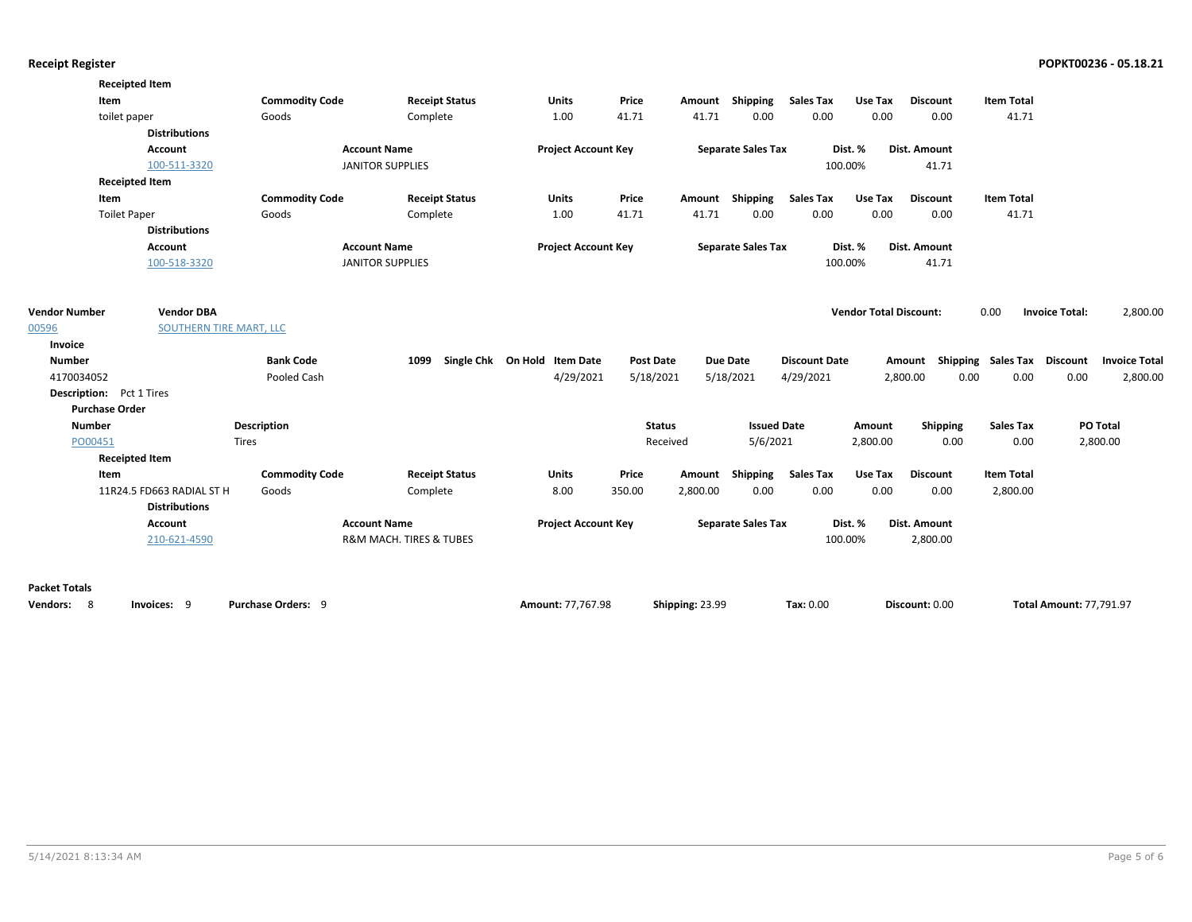|                                 | <b>Receipted Item</b>     |                           |                         |                              |                  |                 |                           |                      |                               |                     |                             |                                   |  |
|---------------------------------|---------------------------|---------------------------|-------------------------|------------------------------|------------------|-----------------|---------------------------|----------------------|-------------------------------|---------------------|-----------------------------|-----------------------------------|--|
| Item                            |                           | <b>Commodity Code</b>     | <b>Receipt Status</b>   | <b>Units</b>                 | Price            | Amount          | Shipping                  | <b>Sales Tax</b>     | Use Tax                       | <b>Discount</b>     | <b>Item Total</b>           |                                   |  |
| toilet paper                    |                           | Goods                     | Complete                | 1.00                         | 41.71            | 41.71           | 0.00                      | 0.00                 | 0.00                          | 0.00                | 41.71                       |                                   |  |
|                                 | <b>Distributions</b>      |                           |                         |                              |                  |                 |                           |                      |                               |                     |                             |                                   |  |
|                                 | Account                   |                           | <b>Account Name</b>     | <b>Project Account Key</b>   |                  |                 | <b>Separate Sales Tax</b> |                      | Dist. %                       | <b>Dist. Amount</b> |                             |                                   |  |
|                                 | 100-511-3320              |                           | <b>JANITOR SUPPLIES</b> |                              |                  |                 |                           |                      | 100.00%                       | 41.71               |                             |                                   |  |
|                                 | <b>Receipted Item</b>     |                           |                         |                              |                  |                 |                           |                      |                               |                     |                             |                                   |  |
| Item                            |                           | <b>Commodity Code</b>     | <b>Receipt Status</b>   | <b>Units</b>                 | Price            |                 | Amount Shipping           | <b>Sales Tax</b>     | Use Tax                       | <b>Discount</b>     | <b>Item Total</b>           |                                   |  |
| <b>Toilet Paper</b>             |                           | Goods                     | Complete                | 1.00                         | 41.71            | 41.71           | 0.00                      | 0.00                 | 0.00                          | 0.00                | 41.71                       |                                   |  |
|                                 | <b>Distributions</b>      |                           |                         |                              |                  |                 |                           |                      |                               |                     |                             |                                   |  |
|                                 | Account                   |                           | <b>Account Name</b>     | <b>Project Account Key</b>   |                  |                 | <b>Separate Sales Tax</b> |                      | Dist. %                       | <b>Dist. Amount</b> |                             |                                   |  |
|                                 | 100-518-3320              |                           | <b>JANITOR SUPPLIES</b> |                              |                  |                 |                           |                      | 100.00%                       | 41.71               |                             |                                   |  |
| <b>Vendor Number</b>            | <b>Vendor DBA</b>         |                           |                         |                              |                  |                 |                           |                      | <b>Vendor Total Discount:</b> |                     | 0.00                        | <b>Invoice Total:</b><br>2,800.00 |  |
| 00596                           | SOUTHERN TIRE MART, LLC   |                           |                         |                              |                  |                 |                           |                      |                               |                     |                             |                                   |  |
| Invoice                         |                           |                           |                         |                              |                  |                 |                           |                      |                               |                     |                             |                                   |  |
| <b>Number</b>                   |                           | <b>Bank Code</b>          | 1099                    | Single Chk On Hold Item Date | <b>Post Date</b> |                 | Due Date                  | <b>Discount Date</b> |                               | Amount              | Shipping Sales Tax Discount | <b>Invoice Total</b>              |  |
| 4170034052                      |                           | Pooled Cash               |                         | 4/29/2021                    | 5/18/2021        |                 | 5/18/2021                 | 4/29/2021            |                               | 2,800.00            | 0.00<br>0.00                | 0.00<br>2,800.00                  |  |
| <b>Description:</b> Pct 1 Tires |                           |                           |                         |                              |                  |                 |                           |                      |                               |                     |                             |                                   |  |
| <b>Purchase Order</b>           |                           |                           |                         |                              |                  |                 |                           |                      |                               |                     |                             |                                   |  |
| <b>Number</b>                   |                           | <b>Description</b>        |                         |                              | <b>Status</b>    |                 | <b>Issued Date</b>        |                      | Amount                        | Shipping            | <b>Sales Tax</b>            | PO Total                          |  |
| PO00451                         |                           | <b>Tires</b>              |                         |                              | Received         |                 | 5/6/2021                  |                      | 2,800.00                      | 0.00                | 0.00                        | 2,800.00                          |  |
|                                 | <b>Receipted Item</b>     |                           |                         |                              |                  |                 |                           |                      |                               |                     |                             |                                   |  |
| Item                            |                           | <b>Commodity Code</b>     | <b>Receipt Status</b>   | <b>Units</b>                 | Price            | Amount          | Shipping                  | <b>Sales Tax</b>     | Use Tax                       | <b>Discount</b>     | <b>Item Total</b>           |                                   |  |
|                                 | 11R24.5 FD663 RADIAL ST H | Goods                     | Complete                | 8.00                         | 350.00           | 2,800.00        | 0.00                      | 0.00                 | 0.00                          | 0.00                | 2,800.00                    |                                   |  |
|                                 | <b>Distributions</b>      |                           |                         |                              |                  |                 |                           |                      |                               |                     |                             |                                   |  |
|                                 | Account                   |                           | <b>Account Name</b>     | <b>Project Account Key</b>   |                  |                 | <b>Separate Sales Tax</b> |                      | Dist. %                       | Dist. Amount        |                             |                                   |  |
|                                 | 210-621-4590              |                           | R&M MACH. TIRES & TUBES |                              |                  |                 |                           |                      | 100.00%                       | 2,800.00            |                             |                                   |  |
| <b>Packet Totals</b>            |                           |                           |                         |                              |                  |                 |                           |                      |                               |                     |                             |                                   |  |
| Vendors:<br>8                   | Invoices: 9               | <b>Purchase Orders: 9</b> |                         | Amount: 77.767.98            |                  | Shipping: 23.99 |                           | Tax: 0.00            |                               | Discount: 0.00      |                             | <b>Total Amount: 77.791.97</b>    |  |